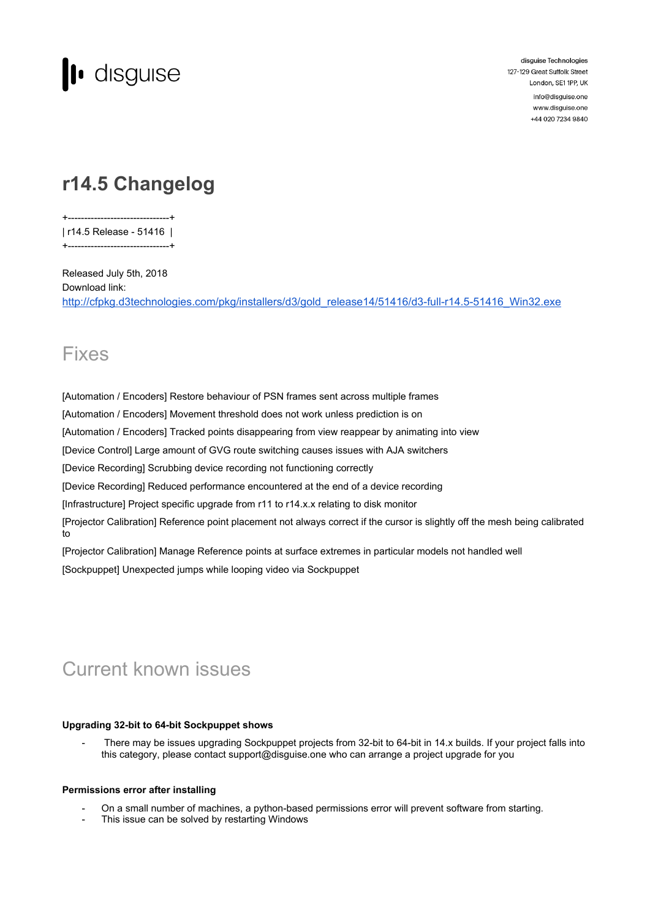

disguise Technologies 127-129 Great Suffolk Street London, SE1 1PP, UK info@disquise.one www.disguise.one +44 020 7234 9840

# **r14.5 Changelog**

+-------------------------------+

| r14.5 Release - 51416 | +-------------------------------+

Released July 5th, 2018 Download link: [http://cfpkg.d3technologies.com/pkg/installers/d3/gold\\_release14/51416/d3-full-r14.5-51416\\_Win32.exe](http://cfpkg.d3technologies.com/pkg/installers/d3/gold_release14/51416/d3-full-r14.5-51416_Win32.exe)

### Fixes

[Automation / Encoders] Restore behaviour of PSN frames sent across multiple frames

[Automation / Encoders] Movement threshold does not work unless prediction is on

[Automation / Encoders] Tracked points disappearing from view reappear by animating into view

[Device Control] Large amount of GVG route switching causes issues with AJA switchers

[Device Recording] Scrubbing device recording not functioning correctly

[Device Recording] Reduced performance encountered at the end of a device recording

[Infrastructure] Project specific upgrade from r11 to r14.x.x relating to disk monitor

[Projector Calibration] Reference point placement not always correct if the cursor is slightly off the mesh being calibrated to

[Projector Calibration] Manage Reference points at surface extremes in particular models not handled well [Sockpuppet] Unexpected jumps while looping video via Sockpuppet

## Current known issues

#### **Upgrading 32-bit to 64-bit Sockpuppet shows**

There may be issues upgrading Sockpuppet projects from 32-bit to 64-bit in 14.x builds. If your project falls into this category, please contact support@disguise.one who can arrange a project upgrade for you

#### **Permissions error after installing**

- On a small number of machines, a python-based permissions error will prevent software from starting.
- This issue can be solved by restarting Windows